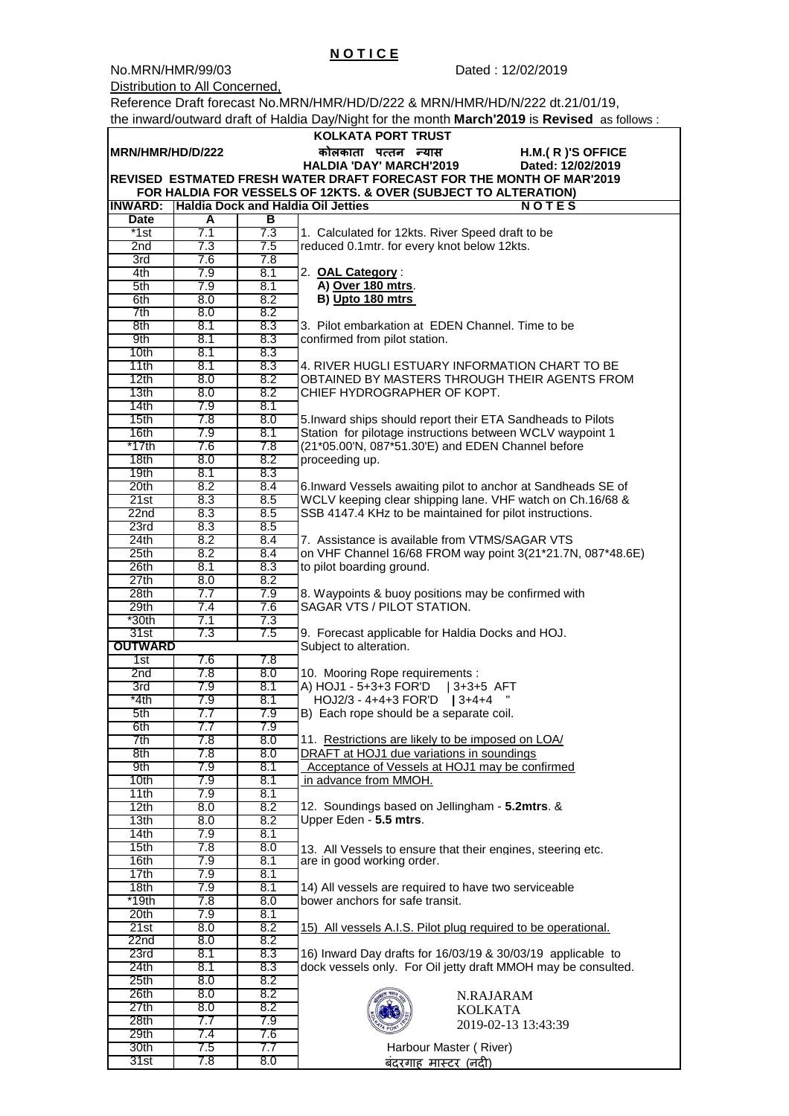No.MRN/HMR/99/03 Dated : 12/02/2019

Distribution to All Concerned,

Reference Draft forecast No.MRN/HMR/HD/D/222 & MRN/HMR/HD/N/222 dt.21/01/19, the inward/outward draft of Haldia Day/Night for the month **March'2019** is **Revised** as follows :

 **N O T I C E**

|                                                                       |            |            | <b>KOLKATA PORT TRUST</b>                                                 |  |  |  |  |
|-----------------------------------------------------------------------|------------|------------|---------------------------------------------------------------------------|--|--|--|--|
| MRN/HMR/HD/D/222                                                      |            |            | कोलकाता पत्तन न्यास<br>H.M.(R)'S OFFICE                                   |  |  |  |  |
|                                                                       |            |            | <b>HALDIA 'DAY' MARCH'2019</b><br>Dated: 12/02/2019                       |  |  |  |  |
| REVISED ESTMATED FRESH WATER DRAFT FORECAST FOR THE MONTH OF MAR'2019 |            |            |                                                                           |  |  |  |  |
| FOR HALDIA FOR VESSELS OF 12KTS. & OVER (SUBJECT TO ALTERATION)       |            |            |                                                                           |  |  |  |  |
| <b>INWARD:</b>                                                        |            |            | Haldia Dock and Haldia Oil Jetties<br><b>NOTES</b>                        |  |  |  |  |
| <b>Date</b>                                                           | A          | в          |                                                                           |  |  |  |  |
| $*1st$                                                                | 7.1        | 7.3        | 1. Calculated for 12kts. River Speed draft to be                          |  |  |  |  |
| 2nd                                                                   | 7.3        | 7.5        | reduced 0.1mtr. for every knot below 12kts.                               |  |  |  |  |
| 3rd                                                                   | 7.6        | 7.8        |                                                                           |  |  |  |  |
| 4th                                                                   | 7.9        | 8.1        | 2. OAL Category:                                                          |  |  |  |  |
| 5th                                                                   | 7.9        | 8.1        | A) Over 180 mtrs.                                                         |  |  |  |  |
| 6th                                                                   | 8.0        | 8.2        | B) Upto 180 mtrs                                                          |  |  |  |  |
| 7th                                                                   | 8.0        | 8.2        |                                                                           |  |  |  |  |
| 8th                                                                   | 8.1        | 8.3        | 3. Pilot embarkation at EDEN Channel. Time to be                          |  |  |  |  |
| 9th                                                                   | 8.1        | 8.3        | confirmed from pilot station.                                             |  |  |  |  |
| 10 <sub>th</sub>                                                      | 8.1        | 8.3        |                                                                           |  |  |  |  |
| 11th                                                                  | 8.1        | 8.3        | 4. RIVER HUGLI ESTUARY INFORMATION CHART TO BE                            |  |  |  |  |
| 12th                                                                  | 8.0        | 8.2        | OBTAINED BY MASTERS THROUGH THEIR AGENTS FROM                             |  |  |  |  |
| 13 <sub>th</sub>                                                      | 8.0        | 8.2        | CHIEF HYDROGRAPHER OF KOPT.                                               |  |  |  |  |
| 14th<br>15 <sub>th</sub>                                              | 7.9<br>7.8 | 8.1<br>8.0 | 5. Inward ships should report their ETA Sandheads to Pilots               |  |  |  |  |
| 16th                                                                  | 7.9        | 8.1        | Station for pilotage instructions between WCLV waypoint 1                 |  |  |  |  |
| *17th                                                                 | 7.6        | 7.8        | (21*05.00'N, 087*51.30'E) and EDEN Channel before                         |  |  |  |  |
| 18 <sub>th</sub>                                                      | 8.0        | 8.2        | proceeding up.                                                            |  |  |  |  |
| 19th                                                                  | 8.1        | 8.3        |                                                                           |  |  |  |  |
| 20th                                                                  | 8.2        | 8.4        | 6. Inward Vessels awaiting pilot to anchor at Sandheads SE of             |  |  |  |  |
| 21st                                                                  | 8.3        | 8.5        | WCLV keeping clear shipping lane. VHF watch on Ch.16/68 &                 |  |  |  |  |
| 22n <sub>d</sub>                                                      | 8.3        | 8.5        | SSB 4147.4 KHz to be maintained for pilot instructions.                   |  |  |  |  |
| 23rd                                                                  | 8.3        | 8.5        |                                                                           |  |  |  |  |
| 24th                                                                  | 8.2        | 8.4        | 7. Assistance is available from VTMS/SAGAR VTS                            |  |  |  |  |
| 25 <sub>th</sub>                                                      | 8.2        | 8.4        | on VHF Channel 16/68 FROM way point 3(21*21.7N, 087*48.6E)                |  |  |  |  |
| 26th                                                                  | 8.1        | 8.3        | to pilot boarding ground.                                                 |  |  |  |  |
| 27th                                                                  | 8.0        | 8.2        |                                                                           |  |  |  |  |
| 28 <sub>th</sub>                                                      | 7.7        | 7.9        | 8. Waypoints & buoy positions may be confirmed with                       |  |  |  |  |
| 29th                                                                  | 7.4        | 7.6        | SAGAR VTS / PILOT STATION.                                                |  |  |  |  |
| *30th                                                                 | 7.1        | 7.3        |                                                                           |  |  |  |  |
| 31st                                                                  | 7.3        | 7.5        | 9. Forecast applicable for Haldia Docks and HOJ.                          |  |  |  |  |
| OUTWARD                                                               |            |            | Subject to alteration.                                                    |  |  |  |  |
| 1st                                                                   | 7.6        | 7.8        |                                                                           |  |  |  |  |
| 2 <sub>nd</sub>                                                       | 7.8        | 8.0        | 10. Mooring Rope requirements :                                           |  |  |  |  |
| 3rd<br>*4th                                                           | 7.9<br>7.9 | 8.1<br>8.1 | A) HOJ1 - 5+3+3 FOR'D<br>$ 3+3+5$ AFT<br>HOJ2/3 - 4+4+3 FOR'D<br>$13+4+4$ |  |  |  |  |
| 5th                                                                   | 7.7        | 7.9        | B) Each rope should be a separate coil.                                   |  |  |  |  |
| 6th                                                                   | 7.7        | 7.9        |                                                                           |  |  |  |  |
| 7th                                                                   | 7.8        | 8.0        | 11. Restrictions are likely to be imposed on LOA/                         |  |  |  |  |
| 8th                                                                   | 7.8        | 8.0        | DRAFT at HOJ1 due variations in soundings                                 |  |  |  |  |
| 9th                                                                   | 7.9        | 8.1        | Acceptance of Vessels at HOJ1 may be confirmed                            |  |  |  |  |
| 10 <sub>th</sub>                                                      | 7.9        | 8.1        | in advance from MMOH.                                                     |  |  |  |  |
| 11th                                                                  | 7.9        | 8.1        |                                                                           |  |  |  |  |
| 12th                                                                  | 8.0        | 8.2        | 12. Soundings based on Jellingham - 5.2mtrs. &                            |  |  |  |  |
| 13 <sub>th</sub>                                                      | 8.0        | 8.2        | Upper Eden - 5.5 mtrs.                                                    |  |  |  |  |
| 14th                                                                  | 7.9        | 8.1        |                                                                           |  |  |  |  |
| 15th                                                                  | 7.8        | 8.0        | 13. All Vessels to ensure that their engines, steering etc.               |  |  |  |  |
| 16th                                                                  | 7.9        | 8.1        | are in good working order.                                                |  |  |  |  |
| 17th                                                                  | 7.9        | 8.1        |                                                                           |  |  |  |  |
| 18 <sub>th</sub>                                                      | 7.9        | 8.1        | 14) All vessels are required to have two serviceable                      |  |  |  |  |
| $*19th$                                                               | 7.8        | 8.0        | bower anchors for safe transit.                                           |  |  |  |  |
| 20 <sup>th</sup><br>21st                                              | 7.9<br>8.0 | 8.1<br>8.2 | 15) All vessels A.I.S. Pilot plug required to be operational.             |  |  |  |  |
| 22 <sub>nd</sub>                                                      | 8.0        | 8.2        |                                                                           |  |  |  |  |
| 23rd                                                                  | 8.1        | 8.3        | 16) Inward Day drafts for 16/03/19 & 30/03/19 applicable to               |  |  |  |  |
| 24th                                                                  | 8.1        | 8.3        | dock vessels only. For Oil jetty draft MMOH may be consulted.             |  |  |  |  |
| 25th                                                                  | 8.0        | 8.2        |                                                                           |  |  |  |  |
| 26th                                                                  | 8.0        | 8.2        | N.RAJARAM                                                                 |  |  |  |  |
| 27th                                                                  | 8.0        | 8.2        | <b>KOLKATA</b>                                                            |  |  |  |  |
| 28 <sub>th</sub>                                                      | 7.7        | 7.9        | 2019-02-13 13:43:39                                                       |  |  |  |  |
| 29th                                                                  | 7.4        | 7.6        |                                                                           |  |  |  |  |
| 30th                                                                  | 7.5        | 7.7        | Harbour Master (River)                                                    |  |  |  |  |
| 31st                                                                  | 7.8        | 8.0        | बंदरगाह मास्टर (नदी)                                                      |  |  |  |  |